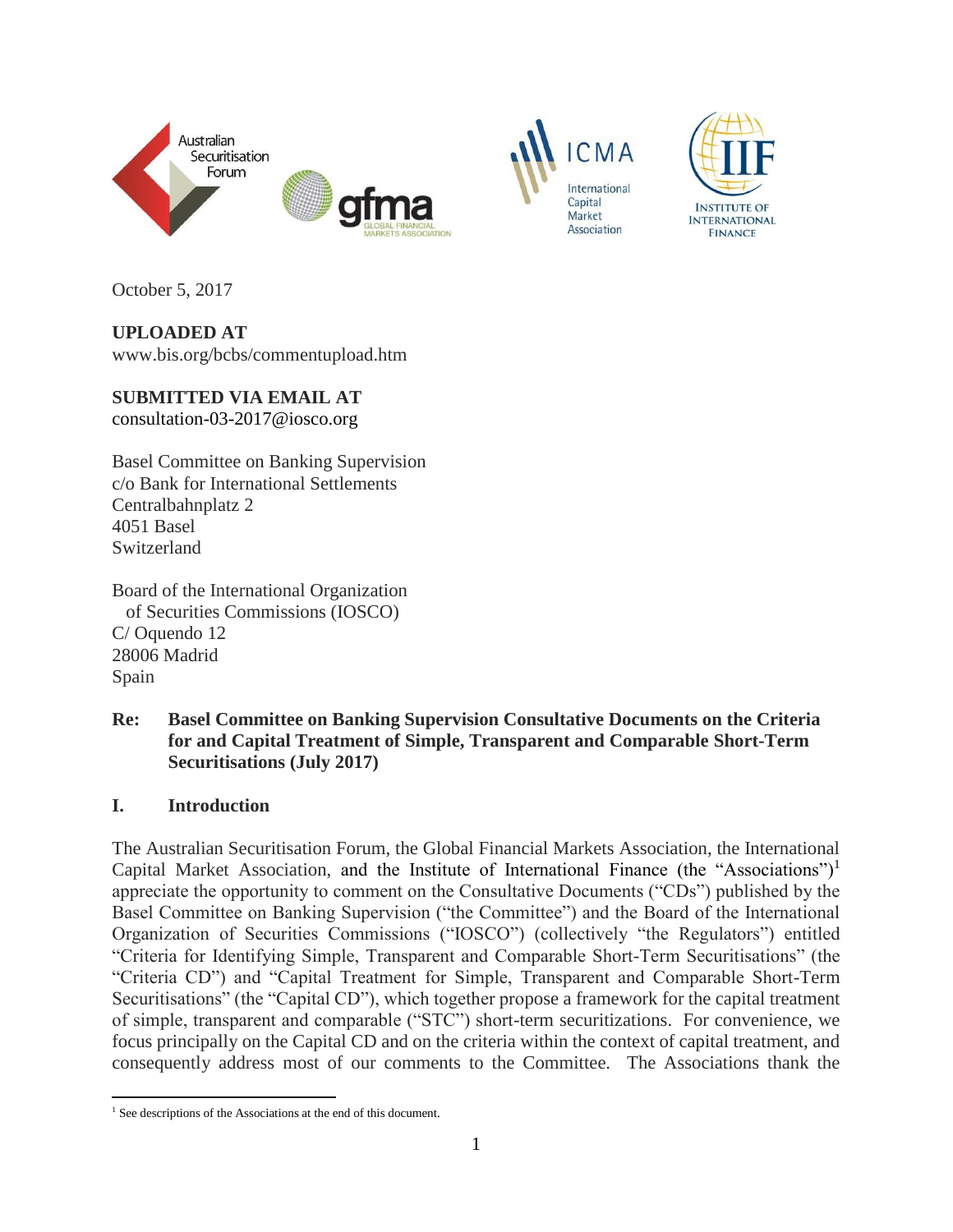





October 5, 2017

**UPLOADED AT** www.bis.org/bcbs/commentupload.htm

**SUBMITTED VIA EMAIL AT** consultation-03-2017@iosco.org

Basel Committee on Banking Supervision c/o Bank for International Settlements Centralbahnplatz 2 4051 Basel Switzerland

Board of the International Organization of Securities Commissions (IOSCO) C/ Oquendo 12 28006 Madrid Spain

**Re: Basel Committee on Banking Supervision Consultative Documents on the Criteria for and Capital Treatment of Simple, Transparent and Comparable Short-Term Securitisations (July 2017)** 

### **I. Introduction**

The Australian Securitisation Forum, the Global Financial Markets Association, the International Capital Market Association, and the Institute of International Finance (the "Associations")<sup>1</sup> appreciate the opportunity to comment on the Consultative Documents ("CDs") published by the Basel Committee on Banking Supervision ("the Committee") and the Board of the International Organization of Securities Commissions ("IOSCO") (collectively "the Regulators") entitled "Criteria for Identifying Simple, Transparent and Comparable Short-Term Securitisations" (the "Criteria CD") and "Capital Treatment for Simple, Transparent and Comparable Short-Term Securitisations" (the "Capital CD"), which together propose a framework for the capital treatment of simple, transparent and comparable ("STC") short-term securitizations. For convenience, we focus principally on the Capital CD and on the criteria within the context of capital treatment, and consequently address most of our comments to the Committee. The Associations thank the

 $\overline{a}$ <sup>1</sup> See descriptions of the Associations at the end of this document.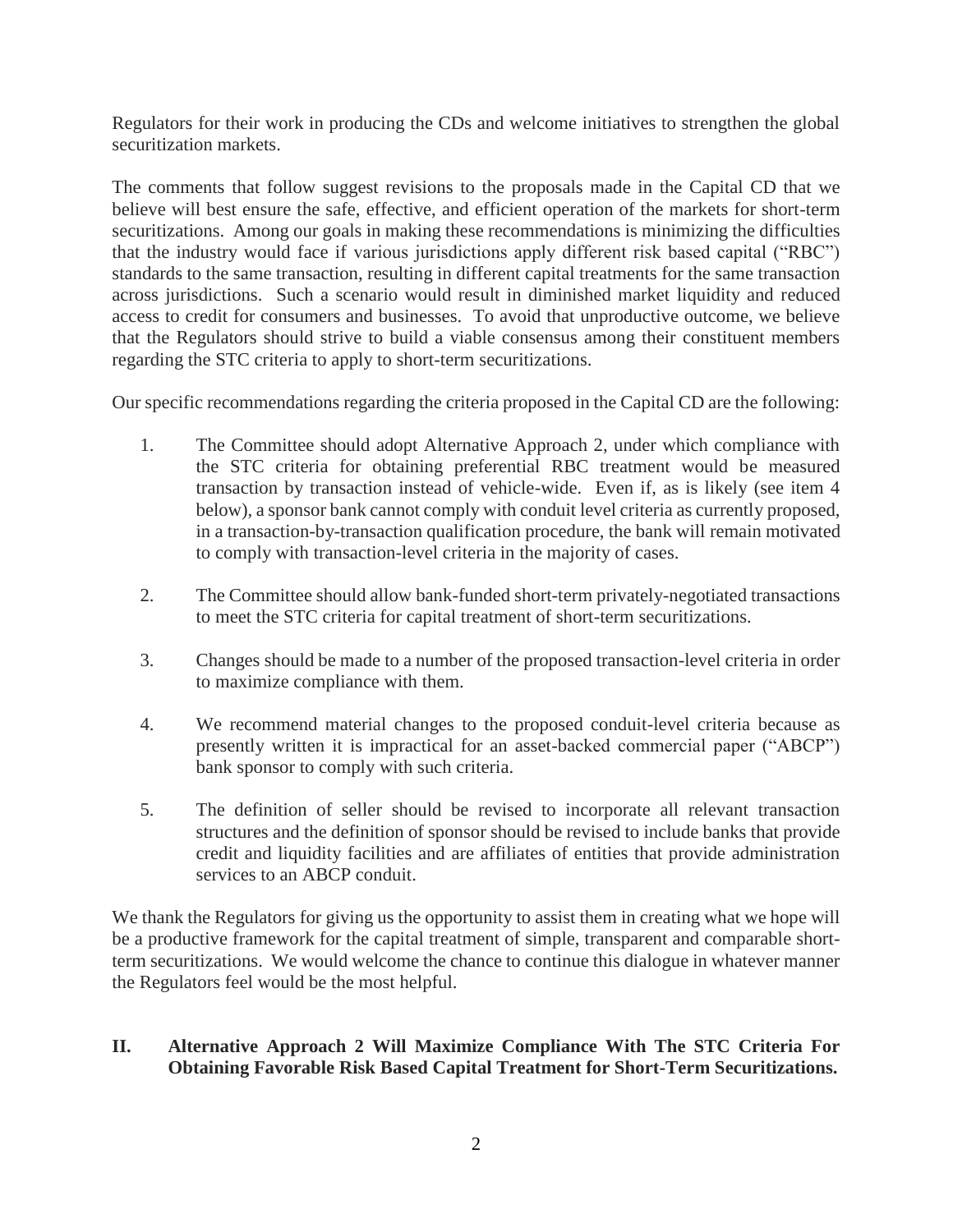Regulators for their work in producing the CDs and welcome initiatives to strengthen the global securitization markets.

The comments that follow suggest revisions to the proposals made in the Capital CD that we believe will best ensure the safe, effective, and efficient operation of the markets for short-term securitizations. Among our goals in making these recommendations is minimizing the difficulties that the industry would face if various jurisdictions apply different risk based capital ("RBC") standards to the same transaction, resulting in different capital treatments for the same transaction across jurisdictions. Such a scenario would result in diminished market liquidity and reduced access to credit for consumers and businesses. To avoid that unproductive outcome, we believe that the Regulators should strive to build a viable consensus among their constituent members regarding the STC criteria to apply to short-term securitizations.

Our specific recommendations regarding the criteria proposed in the Capital CD are the following:

- 1. The Committee should adopt Alternative Approach 2, under which compliance with the STC criteria for obtaining preferential RBC treatment would be measured transaction by transaction instead of vehicle-wide. Even if, as is likely (see item 4 below), a sponsor bank cannot comply with conduit level criteria as currently proposed, in a transaction-by-transaction qualification procedure, the bank will remain motivated to comply with transaction-level criteria in the majority of cases.
- 2. The Committee should allow bank-funded short-term privately-negotiated transactions to meet the STC criteria for capital treatment of short-term securitizations.
- 3. Changes should be made to a number of the proposed transaction-level criteria in order to maximize compliance with them.
- 4. We recommend material changes to the proposed conduit-level criteria because as presently written it is impractical for an asset-backed commercial paper ("ABCP") bank sponsor to comply with such criteria.
- 5. The definition of seller should be revised to incorporate all relevant transaction structures and the definition of sponsor should be revised to include banks that provide credit and liquidity facilities and are affiliates of entities that provide administration services to an ABCP conduit.

We thank the Regulators for giving us the opportunity to assist them in creating what we hope will be a productive framework for the capital treatment of simple, transparent and comparable shortterm securitizations. We would welcome the chance to continue this dialogue in whatever manner the Regulators feel would be the most helpful.

### **II. Alternative Approach 2 Will Maximize Compliance With The STC Criteria For Obtaining Favorable Risk Based Capital Treatment for Short-Term Securitizations.**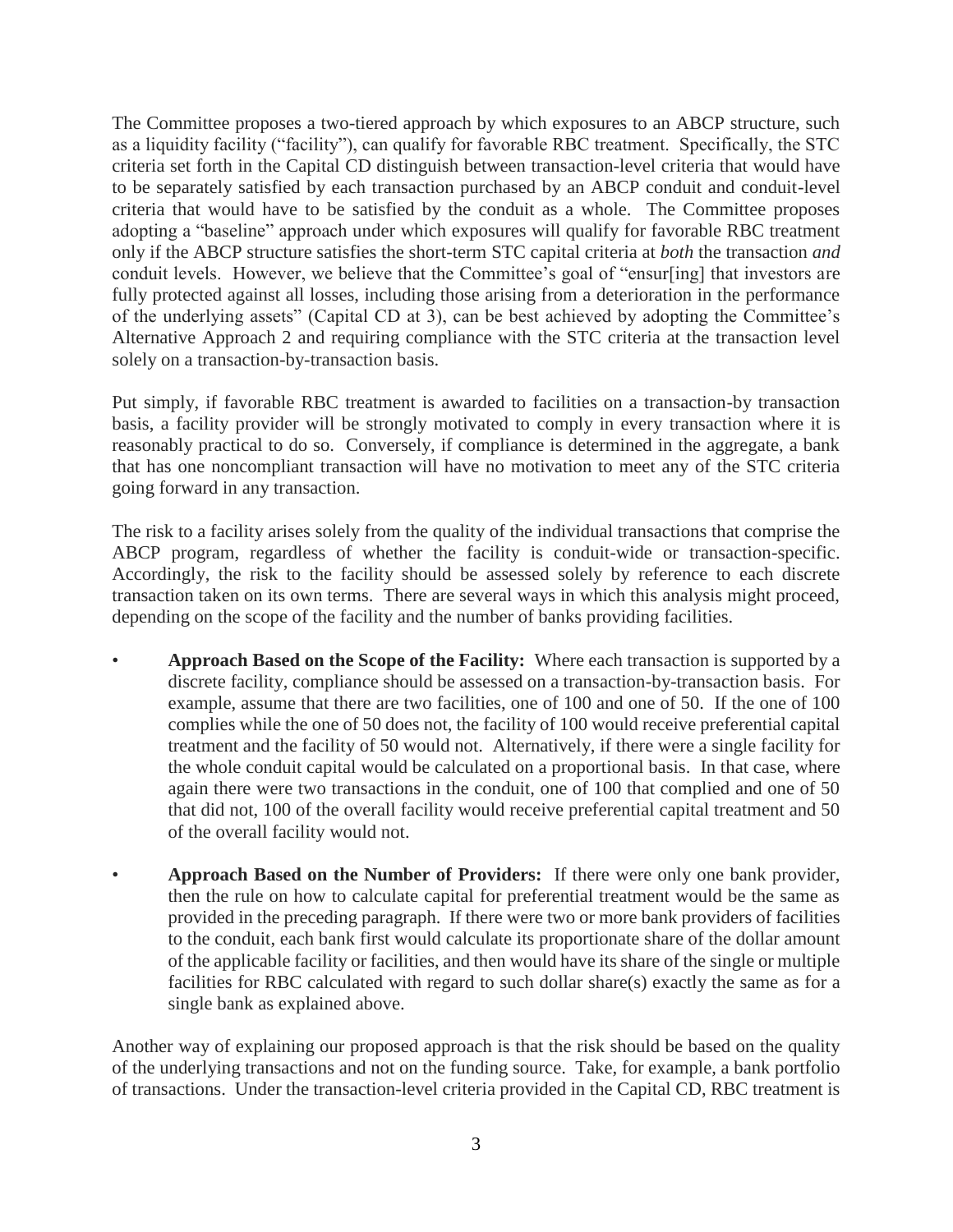The Committee proposes a two-tiered approach by which exposures to an ABCP structure, such as a liquidity facility ("facility"), can qualify for favorable RBC treatment. Specifically, the STC criteria set forth in the Capital CD distinguish between transaction-level criteria that would have to be separately satisfied by each transaction purchased by an ABCP conduit and conduit-level criteria that would have to be satisfied by the conduit as a whole. The Committee proposes adopting a "baseline" approach under which exposures will qualify for favorable RBC treatment only if the ABCP structure satisfies the short-term STC capital criteria at *both* the transaction *and* conduit levels. However, we believe that the Committee's goal of "ensur[ing] that investors are fully protected against all losses, including those arising from a deterioration in the performance of the underlying assets" (Capital CD at 3), can be best achieved by adopting the Committee's Alternative Approach 2 and requiring compliance with the STC criteria at the transaction level solely on a transaction-by-transaction basis.

Put simply, if favorable RBC treatment is awarded to facilities on a transaction-by transaction basis, a facility provider will be strongly motivated to comply in every transaction where it is reasonably practical to do so. Conversely, if compliance is determined in the aggregate, a bank that has one noncompliant transaction will have no motivation to meet any of the STC criteria going forward in any transaction.

The risk to a facility arises solely from the quality of the individual transactions that comprise the ABCP program, regardless of whether the facility is conduit-wide or transaction-specific. Accordingly, the risk to the facility should be assessed solely by reference to each discrete transaction taken on its own terms. There are several ways in which this analysis might proceed, depending on the scope of the facility and the number of banks providing facilities.

- **Approach Based on the Scope of the Facility:** Where each transaction is supported by a discrete facility, compliance should be assessed on a transaction-by-transaction basis. For example, assume that there are two facilities, one of 100 and one of 50. If the one of 100 complies while the one of 50 does not, the facility of 100 would receive preferential capital treatment and the facility of 50 would not. Alternatively, if there were a single facility for the whole conduit capital would be calculated on a proportional basis. In that case, where again there were two transactions in the conduit, one of 100 that complied and one of 50 that did not, 100 of the overall facility would receive preferential capital treatment and 50 of the overall facility would not.
- **Approach Based on the Number of Providers:** If there were only one bank provider, then the rule on how to calculate capital for preferential treatment would be the same as provided in the preceding paragraph. If there were two or more bank providers of facilities to the conduit, each bank first would calculate its proportionate share of the dollar amount of the applicable facility or facilities, and then would have its share of the single or multiple facilities for RBC calculated with regard to such dollar share(s) exactly the same as for a single bank as explained above.

Another way of explaining our proposed approach is that the risk should be based on the quality of the underlying transactions and not on the funding source. Take, for example, a bank portfolio of transactions. Under the transaction-level criteria provided in the Capital CD, RBC treatment is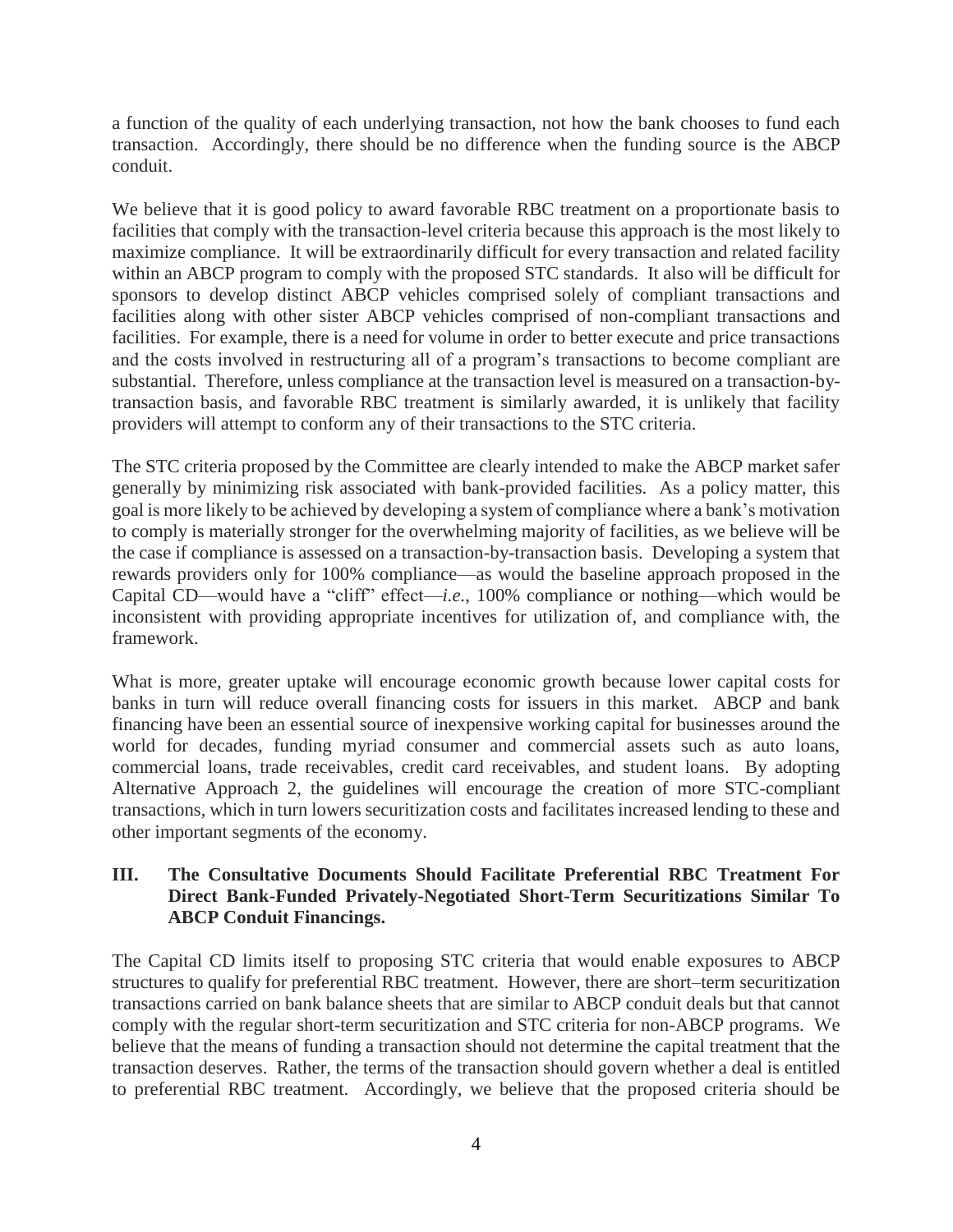a function of the quality of each underlying transaction, not how the bank chooses to fund each transaction. Accordingly, there should be no difference when the funding source is the ABCP conduit.

We believe that it is good policy to award favorable RBC treatment on a proportionate basis to facilities that comply with the transaction-level criteria because this approach is the most likely to maximize compliance. It will be extraordinarily difficult for every transaction and related facility within an ABCP program to comply with the proposed STC standards. It also will be difficult for sponsors to develop distinct ABCP vehicles comprised solely of compliant transactions and facilities along with other sister ABCP vehicles comprised of non-compliant transactions and facilities. For example, there is a need for volume in order to better execute and price transactions and the costs involved in restructuring all of a program's transactions to become compliant are substantial. Therefore, unless compliance at the transaction level is measured on a transaction-bytransaction basis, and favorable RBC treatment is similarly awarded, it is unlikely that facility providers will attempt to conform any of their transactions to the STC criteria.

The STC criteria proposed by the Committee are clearly intended to make the ABCP market safer generally by minimizing risk associated with bank-provided facilities. As a policy matter, this goal is more likely to be achieved by developing a system of compliance where a bank's motivation to comply is materially stronger for the overwhelming majority of facilities, as we believe will be the case if compliance is assessed on a transaction-by-transaction basis. Developing a system that rewards providers only for 100% compliance—as would the baseline approach proposed in the Capital CD—would have a "cliff" effect—*i.e.*, 100% compliance or nothing—which would be inconsistent with providing appropriate incentives for utilization of, and compliance with, the framework.

What is more, greater uptake will encourage economic growth because lower capital costs for banks in turn will reduce overall financing costs for issuers in this market. ABCP and bank financing have been an essential source of inexpensive working capital for businesses around the world for decades, funding myriad consumer and commercial assets such as auto loans, commercial loans, trade receivables, credit card receivables, and student loans. By adopting Alternative Approach 2, the guidelines will encourage the creation of more STC-compliant transactions, which in turn lowers securitization costs and facilitates increased lending to these and other important segments of the economy.

### **III. The Consultative Documents Should Facilitate Preferential RBC Treatment For Direct Bank-Funded Privately-Negotiated Short-Term Securitizations Similar To ABCP Conduit Financings.**

The Capital CD limits itself to proposing STC criteria that would enable exposures to ABCP structures to qualify for preferential RBC treatment. However, there are short–term securitization transactions carried on bank balance sheets that are similar to ABCP conduit deals but that cannot comply with the regular short-term securitization and STC criteria for non-ABCP programs. We believe that the means of funding a transaction should not determine the capital treatment that the transaction deserves. Rather, the terms of the transaction should govern whether a deal is entitled to preferential RBC treatment. Accordingly, we believe that the proposed criteria should be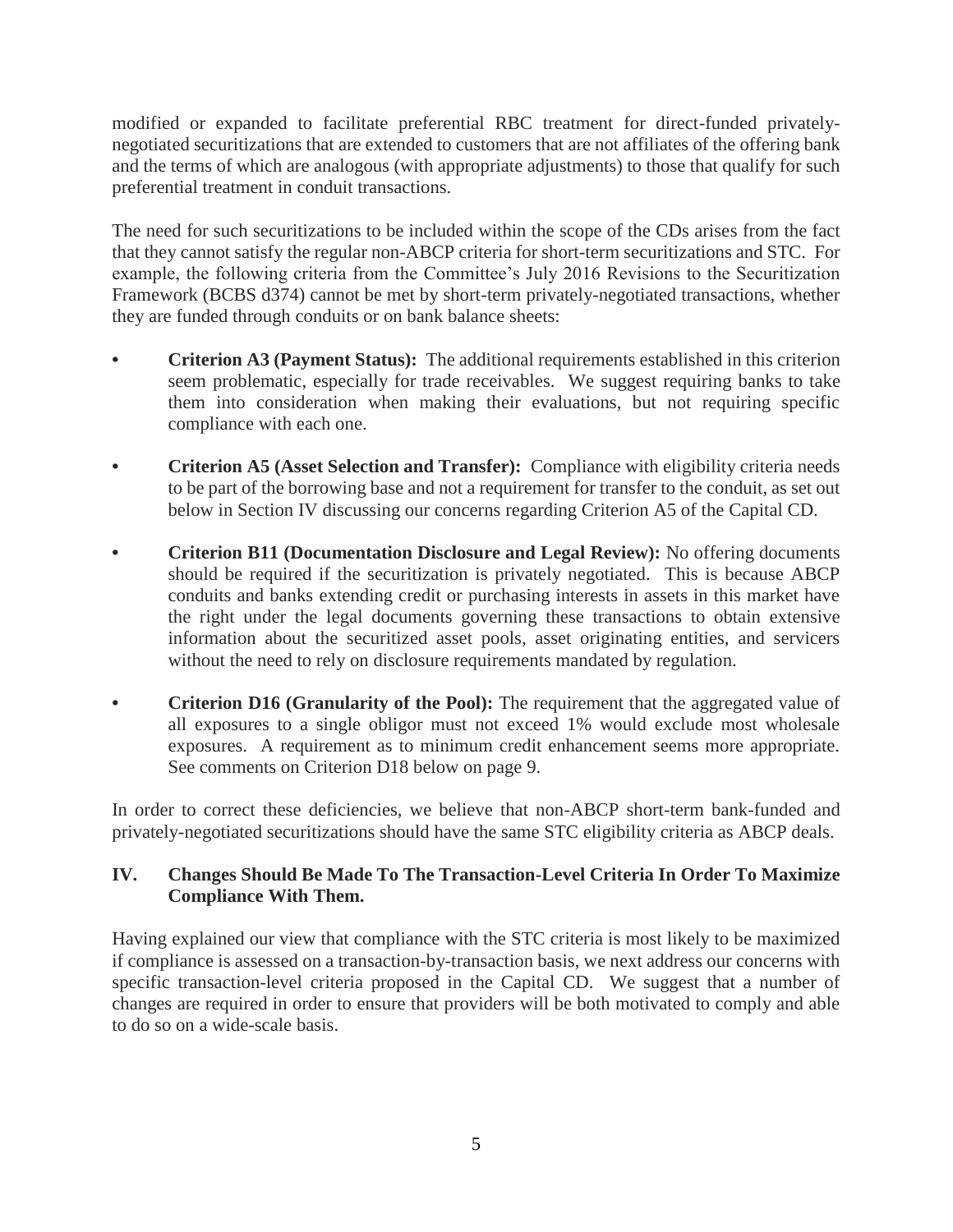modified or expanded to facilitate preferential RBC treatment for direct-funded privatelynegotiated securitizations that are extended to customers that are not affiliates of the offering bank and the terms of which are analogous (with appropriate adjustments) to those that qualify for such preferential treatment in conduit transactions.

The need for such securitizations to be included within the scope of the CDs arises from the fact that they cannot satisfy the regular non-ABCP criteria for short-term securitizations and STC. For example, the following criteria from the Committee's July 2016 Revisions to the Securitization Framework (BCBS d374) cannot be met by short-term privately-negotiated transactions, whether they are funded through conduits or on bank balance sheets:

- **• Criterion A3 (Payment Status):** The additional requirements established in this criterion seem problematic, especially for trade receivables. We suggest requiring banks to take them into consideration when making their evaluations, but not requiring specific compliance with each one.
- **• Criterion A5 (Asset Selection and Transfer):** Compliance with eligibility criteria needs to be part of the borrowing base and not a requirement for transfer to the conduit, as set out below in Section IV discussing our concerns regarding Criterion A5 of the Capital CD.
- **• Criterion B11 (Documentation Disclosure and Legal Review):** No offering documents should be required if the securitization is privately negotiated. This is because ABCP conduits and banks extending credit or purchasing interests in assets in this market have the right under the legal documents governing these transactions to obtain extensive information about the securitized asset pools, asset originating entities, and servicers without the need to rely on disclosure requirements mandated by regulation.
- **Criterion D16 (Granularity of the Pool):** The requirement that the aggregated value of all exposures to a single obligor must not exceed 1% would exclude most wholesale exposures. A requirement as to minimum credit enhancement seems more appropriate. See comments on Criterion D18 below on page 9.

In order to correct these deficiencies, we believe that non-ABCP short-term bank-funded and privately-negotiated securitizations should have the same STC eligibility criteria as ABCP deals.

## **IV. Changes Should Be Made To The Transaction-Level Criteria In Order To Maximize Compliance With Them.**

Having explained our view that compliance with the STC criteria is most likely to be maximized if compliance is assessed on a transaction-by-transaction basis, we next address our concerns with specific transaction-level criteria proposed in the Capital CD. We suggest that a number of changes are required in order to ensure that providers will be both motivated to comply and able to do so on a wide-scale basis.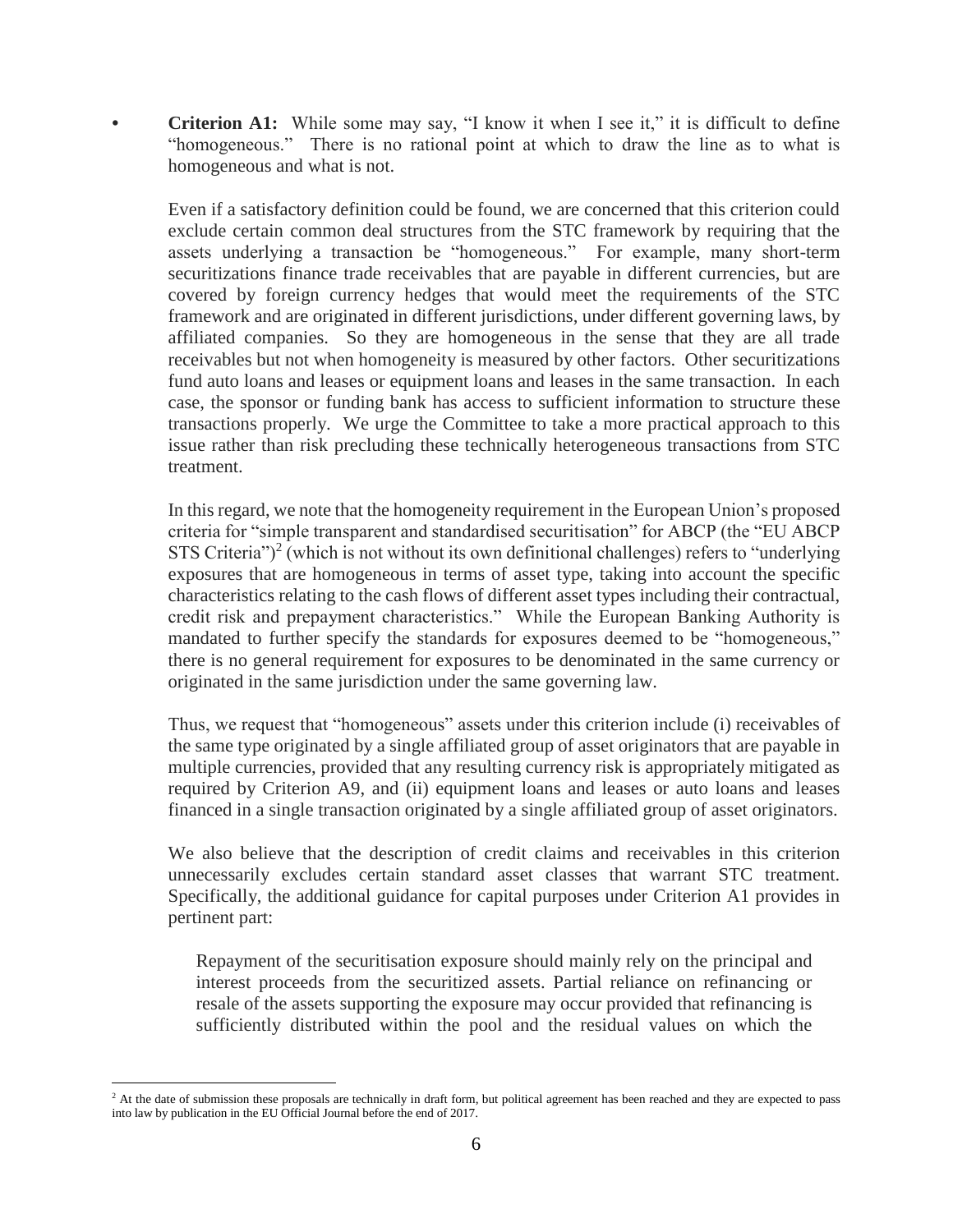**• Criterion A1:** While some may say, "I know it when I see it," it is difficult to define "homogeneous." There is no rational point at which to draw the line as to what is homogeneous and what is not.

Even if a satisfactory definition could be found, we are concerned that this criterion could exclude certain common deal structures from the STC framework by requiring that the assets underlying a transaction be "homogeneous." For example, many short-term securitizations finance trade receivables that are payable in different currencies, but are covered by foreign currency hedges that would meet the requirements of the STC framework and are originated in different jurisdictions, under different governing laws, by affiliated companies. So they are homogeneous in the sense that they are all trade receivables but not when homogeneity is measured by other factors. Other securitizations fund auto loans and leases or equipment loans and leases in the same transaction. In each case, the sponsor or funding bank has access to sufficient information to structure these transactions properly. We urge the Committee to take a more practical approach to this issue rather than risk precluding these technically heterogeneous transactions from STC treatment.

In this regard, we note that the homogeneity requirement in the European Union's proposed criteria for "simple transparent and standardised securitisation" for ABCP (the "EU ABCP STS Criteria" $)^2$  (which is not without its own definitional challenges) refers to "underlying exposures that are homogeneous in terms of asset type, taking into account the specific characteristics relating to the cash flows of different asset types including their contractual, credit risk and prepayment characteristics." While the European Banking Authority is mandated to further specify the standards for exposures deemed to be "homogeneous," there is no general requirement for exposures to be denominated in the same currency or originated in the same jurisdiction under the same governing law.

Thus, we request that "homogeneous" assets under this criterion include (i) receivables of the same type originated by a single affiliated group of asset originators that are payable in multiple currencies, provided that any resulting currency risk is appropriately mitigated as required by Criterion A9, and (ii) equipment loans and leases or auto loans and leases financed in a single transaction originated by a single affiliated group of asset originators.

We also believe that the description of credit claims and receivables in this criterion unnecessarily excludes certain standard asset classes that warrant STC treatment. Specifically, the additional guidance for capital purposes under Criterion A1 provides in pertinent part:

Repayment of the securitisation exposure should mainly rely on the principal and interest proceeds from the securitized assets. Partial reliance on refinancing or resale of the assets supporting the exposure may occur provided that refinancing is sufficiently distributed within the pool and the residual values on which the

 $\overline{a}$ 

<sup>&</sup>lt;sup>2</sup> At the date of submission these proposals are technically in draft form, but political agreement has been reached and they are expected to pass into law by publication in the EU Official Journal before the end of 2017.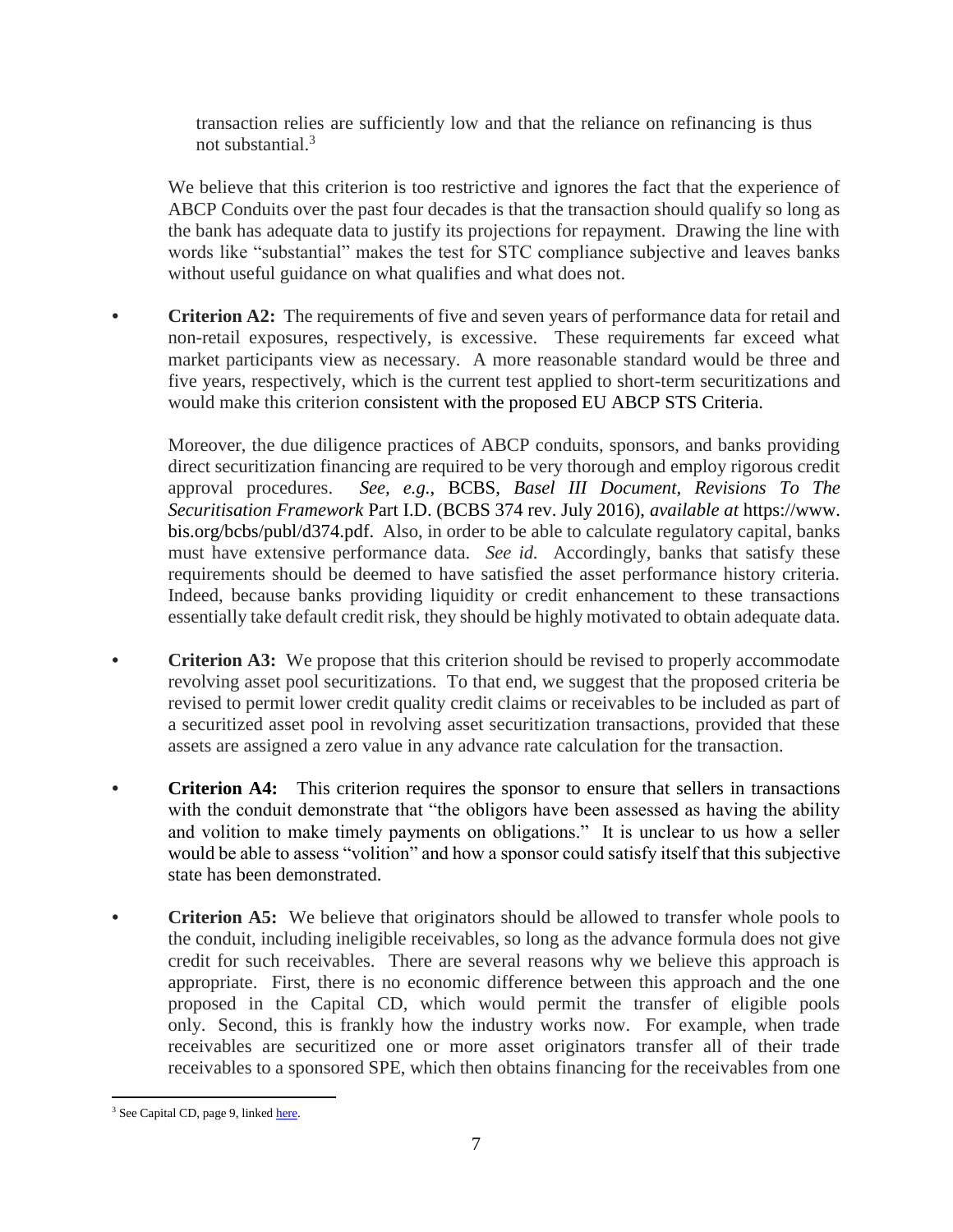transaction relies are sufficiently low and that the reliance on refinancing is thus not substantial.<sup>3</sup>

We believe that this criterion is too restrictive and ignores the fact that the experience of ABCP Conduits over the past four decades is that the transaction should qualify so long as the bank has adequate data to justify its projections for repayment. Drawing the line with words like "substantial" makes the test for STC compliance subjective and leaves banks without useful guidance on what qualifies and what does not.

**• Criterion A2:** The requirements of five and seven years of performance data for retail and non-retail exposures, respectively, is excessive. These requirements far exceed what market participants view as necessary. A more reasonable standard would be three and five years, respectively, which is the current test applied to short-term securitizations and would make this criterion consistent with the proposed EU ABCP STS Criteria.

Moreover, the due diligence practices of ABCP conduits, sponsors, and banks providing direct securitization financing are required to be very thorough and employ rigorous credit approval procedures. *See, e.g.*, BCBS, *Basel III Document, Revisions To The Securitisation Framework* Part I.D. (BCBS 374 rev. July 2016), *available at* https://www. bis.org/bcbs/publ/d374.pdf. Also, in order to be able to calculate regulatory capital, banks must have extensive performance data. *See id.* Accordingly, banks that satisfy these requirements should be deemed to have satisfied the asset performance history criteria. Indeed, because banks providing liquidity or credit enhancement to these transactions essentially take default credit risk, they should be highly motivated to obtain adequate data.

- **Criterion A3:** We propose that this criterion should be revised to properly accommodate revolving asset pool securitizations. To that end, we suggest that the proposed criteria be revised to permit lower credit quality credit claims or receivables to be included as part of a securitized asset pool in revolving asset securitization transactions, provided that these assets are assigned a zero value in any advance rate calculation for the transaction.
- **Criterion A4:** This criterion requires the sponsor to ensure that sellers in transactions with the conduit demonstrate that "the obligors have been assessed as having the ability and volition to make timely payments on obligations." It is unclear to us how a seller would be able to assess "volition" and how a sponsor could satisfy itself that this subjective state has been demonstrated.
- **• Criterion A5:** We believe that originators should be allowed to transfer whole pools to the conduit, including ineligible receivables, so long as the advance formula does not give credit for such receivables. There are several reasons why we believe this approach is appropriate. First, there is no economic difference between this approach and the one proposed in the Capital CD, which would permit the transfer of eligible pools only. Second, this is frankly how the industry works now. For example, when trade receivables are securitized one or more asset originators transfer all of their trade receivables to a sponsored SPE, which then obtains financing for the receivables from one

 $\overline{a}$ <sup>3</sup> See Capital CD, page 9, linke[d here.](http://www.bis.org/bcbs/publ/d413.pdf)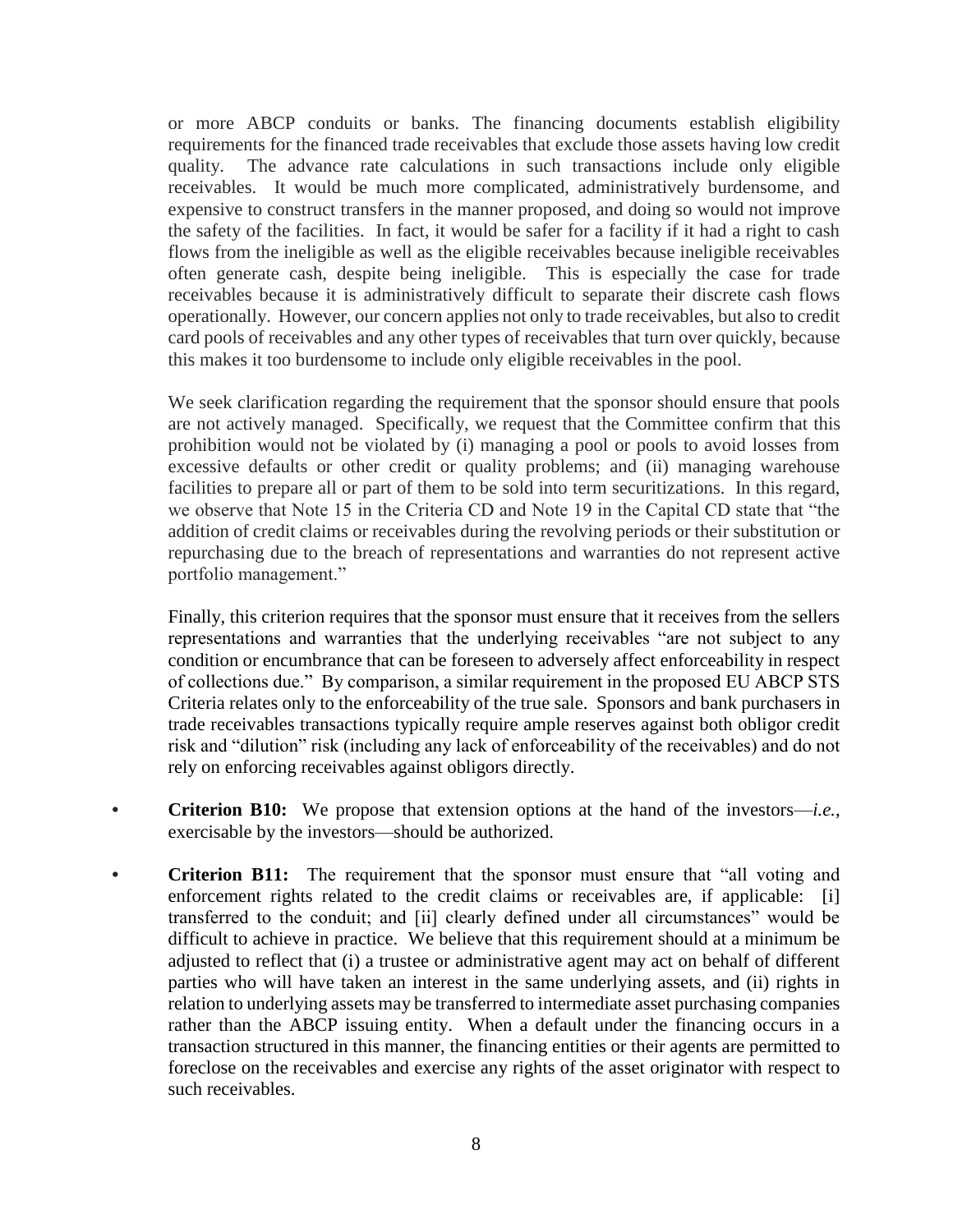or more ABCP conduits or banks. The financing documents establish eligibility requirements for the financed trade receivables that exclude those assets having low credit quality. The advance rate calculations in such transactions include only eligible receivables. It would be much more complicated, administratively burdensome, and expensive to construct transfers in the manner proposed, and doing so would not improve the safety of the facilities. In fact, it would be safer for a facility if it had a right to cash flows from the ineligible as well as the eligible receivables because ineligible receivables often generate cash, despite being ineligible. This is especially the case for trade receivables because it is administratively difficult to separate their discrete cash flows operationally. However, our concern applies not only to trade receivables, but also to credit card pools of receivables and any other types of receivables that turn over quickly, because this makes it too burdensome to include only eligible receivables in the pool.

We seek clarification regarding the requirement that the sponsor should ensure that pools are not actively managed. Specifically, we request that the Committee confirm that this prohibition would not be violated by (i) managing a pool or pools to avoid losses from excessive defaults or other credit or quality problems; and (ii) managing warehouse facilities to prepare all or part of them to be sold into term securitizations. In this regard, we observe that Note 15 in the Criteria CD and Note 19 in the Capital CD state that "the addition of credit claims or receivables during the revolving periods or their substitution or repurchasing due to the breach of representations and warranties do not represent active portfolio management."

Finally, this criterion requires that the sponsor must ensure that it receives from the sellers representations and warranties that the underlying receivables "are not subject to any condition or encumbrance that can be foreseen to adversely affect enforceability in respect of collections due." By comparison, a similar requirement in the proposed EU ABCP STS Criteria relates only to the enforceability of the true sale. Sponsors and bank purchasers in trade receivables transactions typically require ample reserves against both obligor credit risk and "dilution" risk (including any lack of enforceability of the receivables) and do not rely on enforcing receivables against obligors directly.

- **• Criterion B10:** We propose that extension options at the hand of the investors—*i.e.*, exercisable by the investors—should be authorized.
- **Criterion B11:** The requirement that the sponsor must ensure that "all voting and enforcement rights related to the credit claims or receivables are, if applicable: [i] transferred to the conduit; and [ii] clearly defined under all circumstances" would be difficult to achieve in practice. We believe that this requirement should at a minimum be adjusted to reflect that (i) a trustee or administrative agent may act on behalf of different parties who will have taken an interest in the same underlying assets, and (ii) rights in relation to underlying assets may be transferred to intermediate asset purchasing companies rather than the ABCP issuing entity. When a default under the financing occurs in a transaction structured in this manner, the financing entities or their agents are permitted to foreclose on the receivables and exercise any rights of the asset originator with respect to such receivables.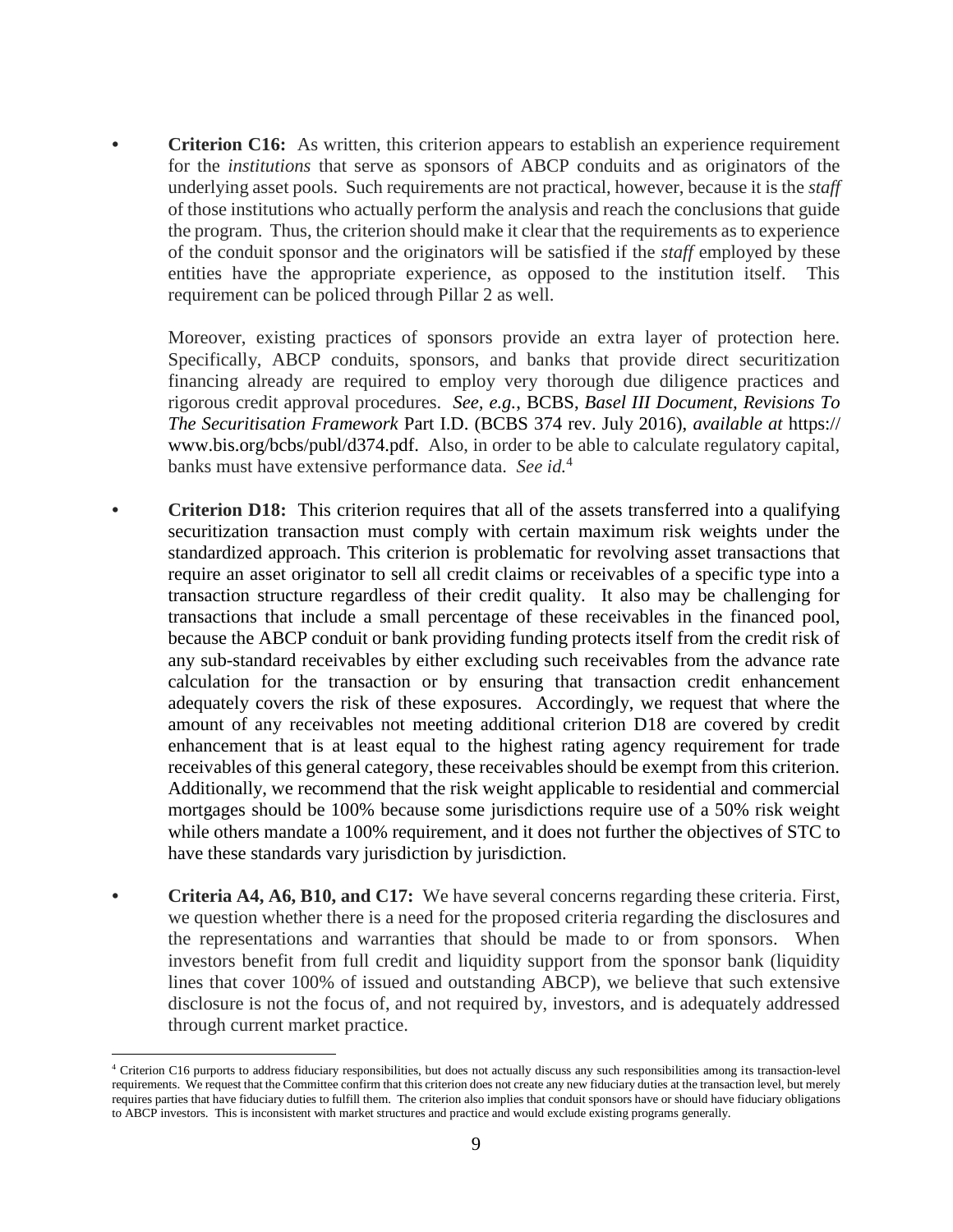**Criterion C16:** As written, this criterion appears to establish an experience requirement for the *institutions* that serve as sponsors of ABCP conduits and as originators of the underlying asset pools. Such requirements are not practical, however, because it is the *staff* of those institutions who actually perform the analysis and reach the conclusions that guide the program. Thus, the criterion should make it clear that the requirements as to experience of the conduit sponsor and the originators will be satisfied if the *staff* employed by these entities have the appropriate experience, as opposed to the institution itself. This requirement can be policed through Pillar 2 as well.

Moreover, existing practices of sponsors provide an extra layer of protection here. Specifically, ABCP conduits, sponsors, and banks that provide direct securitization financing already are required to employ very thorough due diligence practices and rigorous credit approval procedures. *See, e.g.*, BCBS, *Basel III Document, Revisions To The Securitisation Framework* Part I.D. (BCBS 374 rev. July 2016), *available at* https:// www.bis.org/bcbs/publ/d374.pdf. Also, in order to be able to calculate regulatory capital, banks must have extensive performance data. *See id.*<sup>4</sup>

- **• Criterion D18:** This criterion requires that all of the assets transferred into a qualifying securitization transaction must comply with certain maximum risk weights under the standardized approach. This criterion is problematic for revolving asset transactions that require an asset originator to sell all credit claims or receivables of a specific type into a transaction structure regardless of their credit quality. It also may be challenging for transactions that include a small percentage of these receivables in the financed pool, because the ABCP conduit or bank providing funding protects itself from the credit risk of any sub-standard receivables by either excluding such receivables from the advance rate calculation for the transaction or by ensuring that transaction credit enhancement adequately covers the risk of these exposures. Accordingly, we request that where the amount of any receivables not meeting additional criterion D18 are covered by credit enhancement that is at least equal to the highest rating agency requirement for trade receivables of this general category, these receivables should be exempt from this criterion. Additionally, we recommend that the risk weight applicable to residential and commercial mortgages should be 100% because some jurisdictions require use of a 50% risk weight while others mandate a 100% requirement, and it does not further the objectives of STC to have these standards vary jurisdiction by jurisdiction.
- **• Criteria A4, A6, B10, and C17:** We have several concerns regarding these criteria. First, we question whether there is a need for the proposed criteria regarding the disclosures and the representations and warranties that should be made to or from sponsors. When investors benefit from full credit and liquidity support from the sponsor bank (liquidity lines that cover 100% of issued and outstanding ABCP), we believe that such extensive disclosure is not the focus of, and not required by, investors, and is adequately addressed through current market practice.

 $\overline{a}$ 

<sup>&</sup>lt;sup>4</sup> Criterion C16 purports to address fiduciary responsibilities, but does not actually discuss any such responsibilities among its transaction-level requirements. We request that the Committee confirm that this criterion does not create any new fiduciary duties at the transaction level, but merely requires parties that have fiduciary duties to fulfill them. The criterion also implies that conduit sponsors have or should have fiduciary obligations to ABCP investors. This is inconsistent with market structures and practice and would exclude existing programs generally.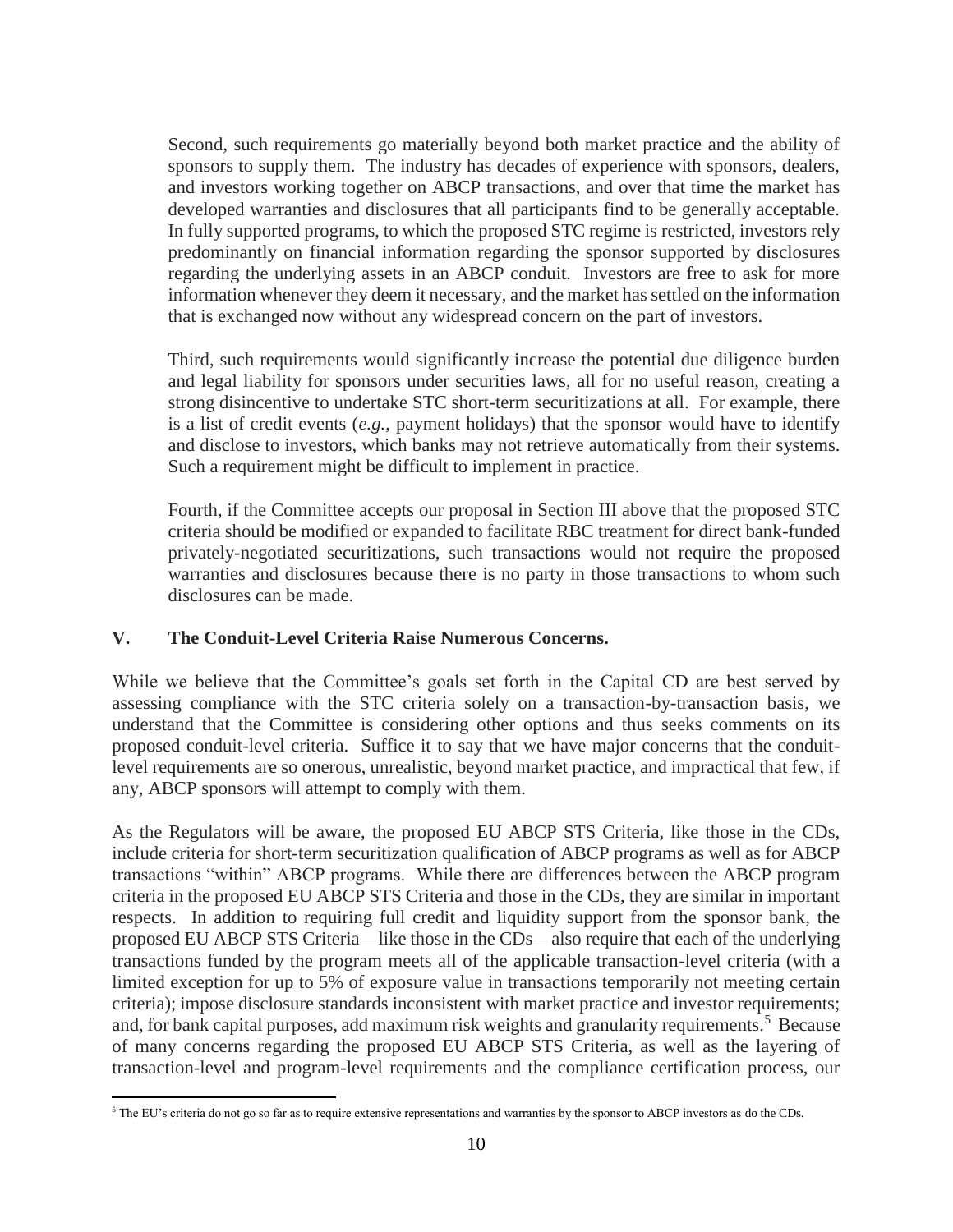Second, such requirements go materially beyond both market practice and the ability of sponsors to supply them. The industry has decades of experience with sponsors, dealers, and investors working together on ABCP transactions, and over that time the market has developed warranties and disclosures that all participants find to be generally acceptable. In fully supported programs, to which the proposed STC regime is restricted, investors rely predominantly on financial information regarding the sponsor supported by disclosures regarding the underlying assets in an ABCP conduit. Investors are free to ask for more information whenever they deem it necessary, and the market has settled on the information that is exchanged now without any widespread concern on the part of investors.

Third, such requirements would significantly increase the potential due diligence burden and legal liability for sponsors under securities laws, all for no useful reason, creating a strong disincentive to undertake STC short-term securitizations at all. For example, there is a list of credit events (*e.g.*, payment holidays) that the sponsor would have to identify and disclose to investors, which banks may not retrieve automatically from their systems. Such a requirement might be difficult to implement in practice.

Fourth, if the Committee accepts our proposal in Section III above that the proposed STC criteria should be modified or expanded to facilitate RBC treatment for direct bank-funded privately-negotiated securitizations, such transactions would not require the proposed warranties and disclosures because there is no party in those transactions to whom such disclosures can be made.

### **V. The Conduit-Level Criteria Raise Numerous Concerns.**

While we believe that the Committee's goals set forth in the Capital CD are best served by assessing compliance with the STC criteria solely on a transaction-by-transaction basis, we understand that the Committee is considering other options and thus seeks comments on its proposed conduit-level criteria. Suffice it to say that we have major concerns that the conduitlevel requirements are so onerous, unrealistic, beyond market practice, and impractical that few, if any, ABCP sponsors will attempt to comply with them.

As the Regulators will be aware, the proposed EU ABCP STS Criteria, like those in the CDs, include criteria for short-term securitization qualification of ABCP programs as well as for ABCP transactions "within" ABCP programs. While there are differences between the ABCP program criteria in the proposed EU ABCP STS Criteria and those in the CDs, they are similar in important respects. In addition to requiring full credit and liquidity support from the sponsor bank, the proposed EU ABCP STS Criteria—like those in the CDs—also require that each of the underlying transactions funded by the program meets all of the applicable transaction-level criteria (with a limited exception for up to 5% of exposure value in transactions temporarily not meeting certain criteria); impose disclosure standards inconsistent with market practice and investor requirements; and, for bank capital purposes, add maximum risk weights and granularity requirements.<sup>5</sup> Because of many concerns regarding the proposed EU ABCP STS Criteria, as well as the layering of transaction-level and program-level requirements and the compliance certification process, our

 $\overline{a}$ <sup>5</sup> The EU's criteria do not go so far as to require extensive representations and warranties by the sponsor to ABCP investors as do the CDs.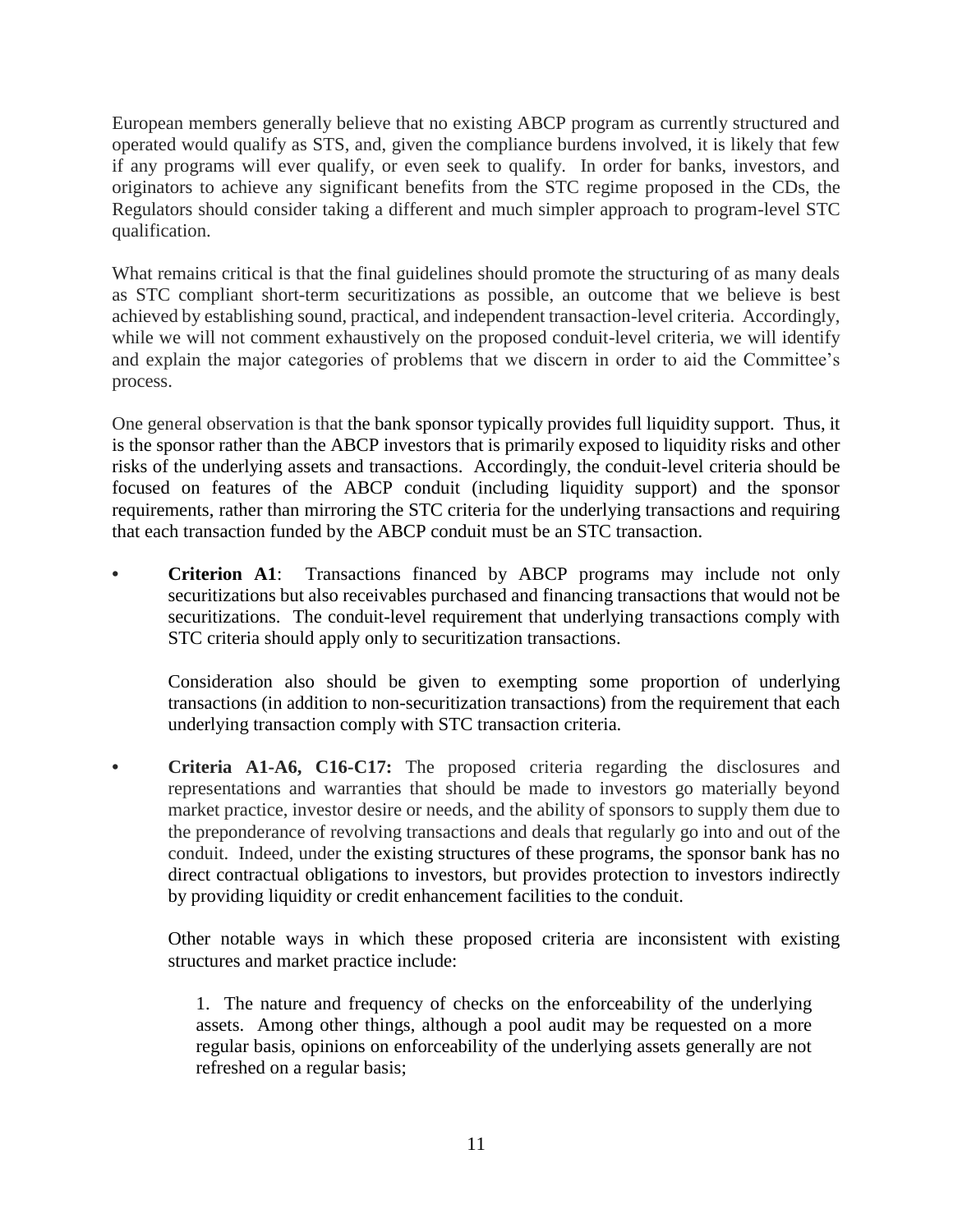European members generally believe that no existing ABCP program as currently structured and operated would qualify as STS, and, given the compliance burdens involved, it is likely that few if any programs will ever qualify, or even seek to qualify. In order for banks, investors, and originators to achieve any significant benefits from the STC regime proposed in the CDs, the Regulators should consider taking a different and much simpler approach to program-level STC qualification.

What remains critical is that the final guidelines should promote the structuring of as many deals as STC compliant short-term securitizations as possible, an outcome that we believe is best achieved by establishing sound, practical, and independent transaction-level criteria. Accordingly, while we will not comment exhaustively on the proposed conduit-level criteria, we will identify and explain the major categories of problems that we discern in order to aid the Committee's process.

One general observation is that the bank sponsor typically provides full liquidity support. Thus, it is the sponsor rather than the ABCP investors that is primarily exposed to liquidity risks and other risks of the underlying assets and transactions. Accordingly, the conduit-level criteria should be focused on features of the ABCP conduit (including liquidity support) and the sponsor requirements, rather than mirroring the STC criteria for the underlying transactions and requiring that each transaction funded by the ABCP conduit must be an STC transaction.

**• Criterion A1**: Transactions financed by ABCP programs may include not only securitizations but also receivables purchased and financing transactions that would not be securitizations. The conduit-level requirement that underlying transactions comply with STC criteria should apply only to securitization transactions.

Consideration also should be given to exempting some proportion of underlying transactions (in addition to non-securitization transactions) from the requirement that each underlying transaction comply with STC transaction criteria.

**• Criteria A1-A6, C16-C17:** The proposed criteria regarding the disclosures and representations and warranties that should be made to investors go materially beyond market practice, investor desire or needs, and the ability of sponsors to supply them due to the preponderance of revolving transactions and deals that regularly go into and out of the conduit. Indeed, under the existing structures of these programs, the sponsor bank has no direct contractual obligations to investors, but provides protection to investors indirectly by providing liquidity or credit enhancement facilities to the conduit.

Other notable ways in which these proposed criteria are inconsistent with existing structures and market practice include:

1. The nature and frequency of checks on the enforceability of the underlying assets. Among other things, although a pool audit may be requested on a more regular basis, opinions on enforceability of the underlying assets generally are not refreshed on a regular basis;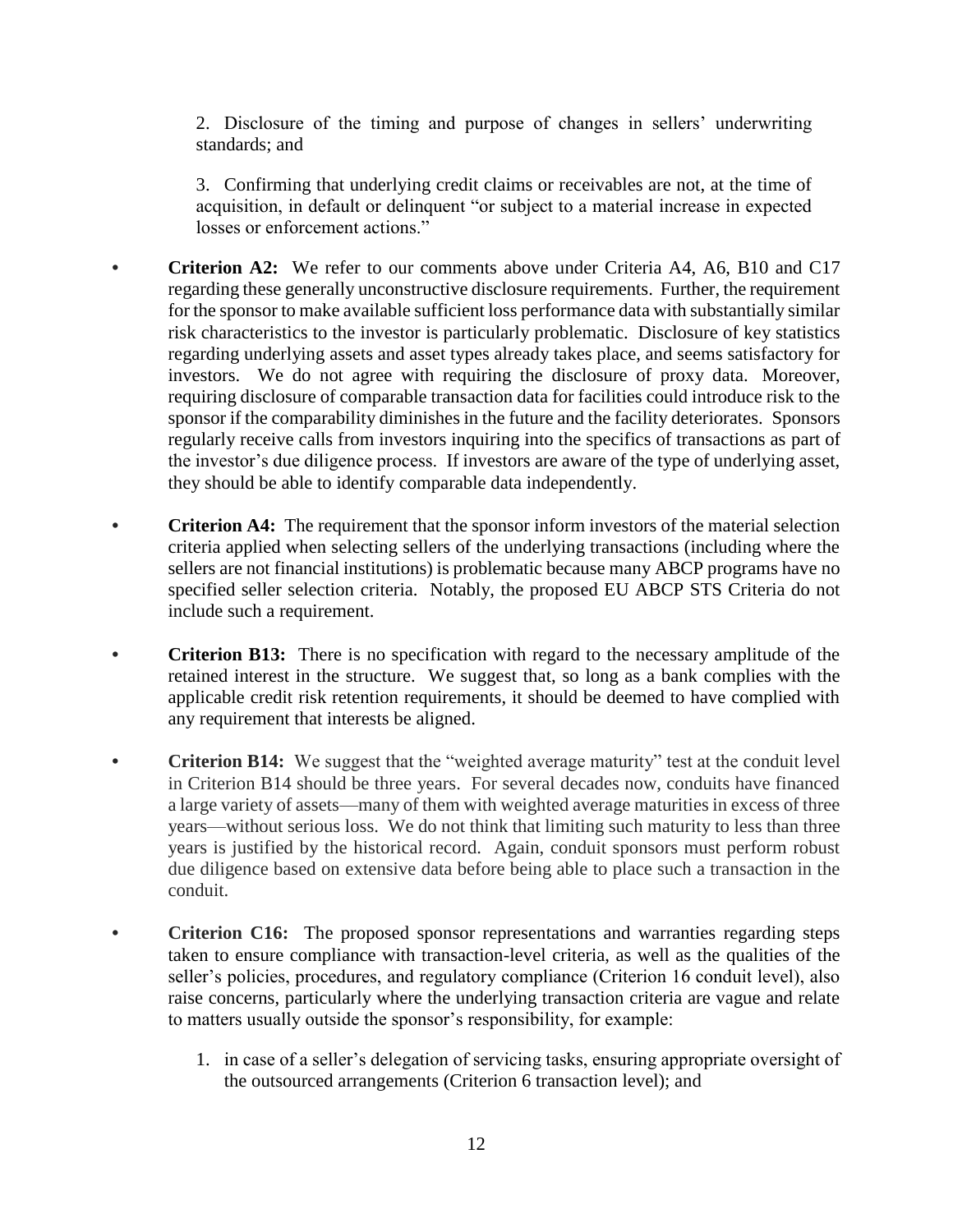2. Disclosure of the timing and purpose of changes in sellers' underwriting standards; and

3. Confirming that underlying credit claims or receivables are not, at the time of acquisition, in default or delinquent "or subject to a material increase in expected losses or enforcement actions."

- **• Criterion A2:** We refer to our comments above under Criteria A4, A6, B10 and C17 regarding these generally unconstructive disclosure requirements. Further, the requirement for the sponsor to make available sufficient loss performance data with substantially similar risk characteristics to the investor is particularly problematic. Disclosure of key statistics regarding underlying assets and asset types already takes place, and seems satisfactory for investors. We do not agree with requiring the disclosure of proxy data. Moreover, requiring disclosure of comparable transaction data for facilities could introduce risk to the sponsor if the comparability diminishes in the future and the facility deteriorates. Sponsors regularly receive calls from investors inquiring into the specifics of transactions as part of the investor's due diligence process. If investors are aware of the type of underlying asset, they should be able to identify comparable data independently.
- **Criterion A4:** The requirement that the sponsor inform investors of the material selection criteria applied when selecting sellers of the underlying transactions (including where the sellers are not financial institutions) is problematic because many ABCP programs have no specified seller selection criteria. Notably, the proposed EU ABCP STS Criteria do not include such a requirement.
- **• Criterion B13:** There is no specification with regard to the necessary amplitude of the retained interest in the structure. We suggest that, so long as a bank complies with the applicable credit risk retention requirements, it should be deemed to have complied with any requirement that interests be aligned.
- **• Criterion B14:** We suggest that the "weighted average maturity" test at the conduit level in Criterion B14 should be three years. For several decades now, conduits have financed a large variety of assets—many of them with weighted average maturities in excess of three years—without serious loss. We do not think that limiting such maturity to less than three years is justified by the historical record. Again, conduit sponsors must perform robust due diligence based on extensive data before being able to place such a transaction in the conduit.
- **Criterion C16:** The proposed sponsor representations and warranties regarding steps taken to ensure compliance with transaction-level criteria, as well as the qualities of the seller's policies, procedures, and regulatory compliance (Criterion 16 conduit level), also raise concerns, particularly where the underlying transaction criteria are vague and relate to matters usually outside the sponsor's responsibility, for example:
	- 1. in case of a seller's delegation of servicing tasks, ensuring appropriate oversight of the outsourced arrangements (Criterion 6 transaction level); and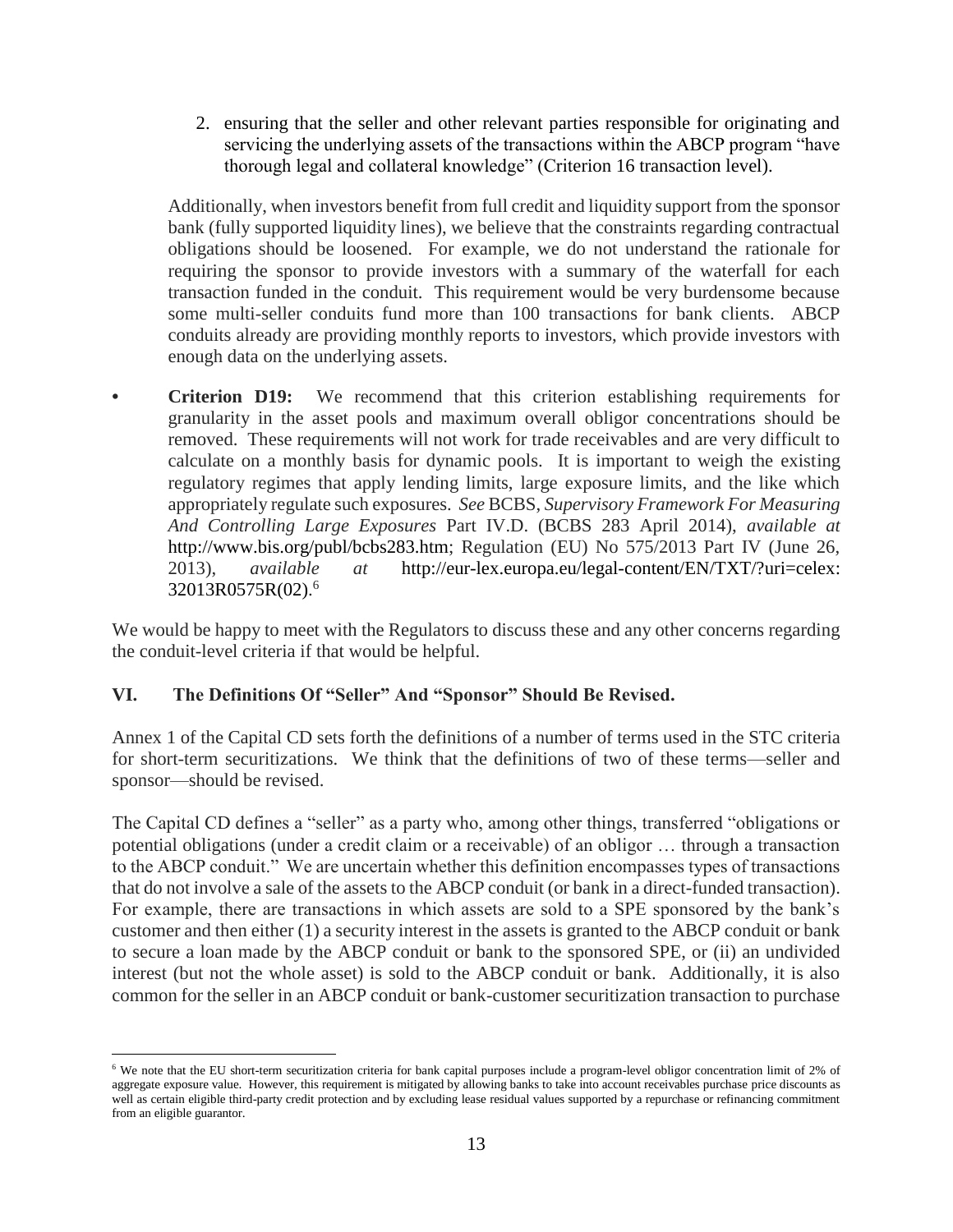2. ensuring that the seller and other relevant parties responsible for originating and servicing the underlying assets of the transactions within the ABCP program "have thorough legal and collateral knowledge" (Criterion 16 transaction level).

Additionally, when investors benefit from full credit and liquidity support from the sponsor bank (fully supported liquidity lines), we believe that the constraints regarding contractual obligations should be loosened. For example, we do not understand the rationale for requiring the sponsor to provide investors with a summary of the waterfall for each transaction funded in the conduit. This requirement would be very burdensome because some multi-seller conduits fund more than 100 transactions for bank clients. ABCP conduits already are providing monthly reports to investors, which provide investors with enough data on the underlying assets.

**• Criterion D19:** We recommend that this criterion establishing requirements for granularity in the asset pools and maximum overall obligor concentrations should be removed. These requirements will not work for trade receivables and are very difficult to calculate on a monthly basis for dynamic pools. It is important to weigh the existing regulatory regimes that apply lending limits, large exposure limits, and the like which appropriately regulate such exposures. *See* BCBS, *Supervisory Framework For Measuring And Controlling Large Exposures* Part IV.D. (BCBS 283 April 2014), *available at* http://www.bis.org/publ/bcbs283.htm; Regulation (EU) No 575/2013 Part IV (June 26, 2013), *available at* http://eur-lex.europa.eu/legal-content/EN/TXT/?uri=celex: 32013R0575R(02). 6

We would be happy to meet with the Regulators to discuss these and any other concerns regarding the conduit-level criteria if that would be helpful.

# **VI. The Definitions Of "Seller" And "Sponsor" Should Be Revised.**

Annex 1 of the Capital CD sets forth the definitions of a number of terms used in the STC criteria for short-term securitizations. We think that the definitions of two of these terms—seller and sponsor—should be revised.

The Capital CD defines a "seller" as a party who, among other things, transferred "obligations or potential obligations (under a credit claim or a receivable) of an obligor … through a transaction to the ABCP conduit." We are uncertain whether this definition encompasses types of transactions that do not involve a sale of the assets to the ABCP conduit (or bank in a direct-funded transaction). For example, there are transactions in which assets are sold to a SPE sponsored by the bank's customer and then either (1) a security interest in the assets is granted to the ABCP conduit or bank to secure a loan made by the ABCP conduit or bank to the sponsored SPE, or (ii) an undivided interest (but not the whole asset) is sold to the ABCP conduit or bank. Additionally, it is also common for the seller in an ABCP conduit or bank-customer securitization transaction to purchase

 $\overline{a}$ <sup>6</sup> We note that the EU short-term securitization criteria for bank capital purposes include a program-level obligor concentration limit of 2% of aggregate exposure value. However, this requirement is mitigated by allowing banks to take into account receivables purchase price discounts as well as certain eligible third-party credit protection and by excluding lease residual values supported by a repurchase or refinancing commitment from an eligible guarantor.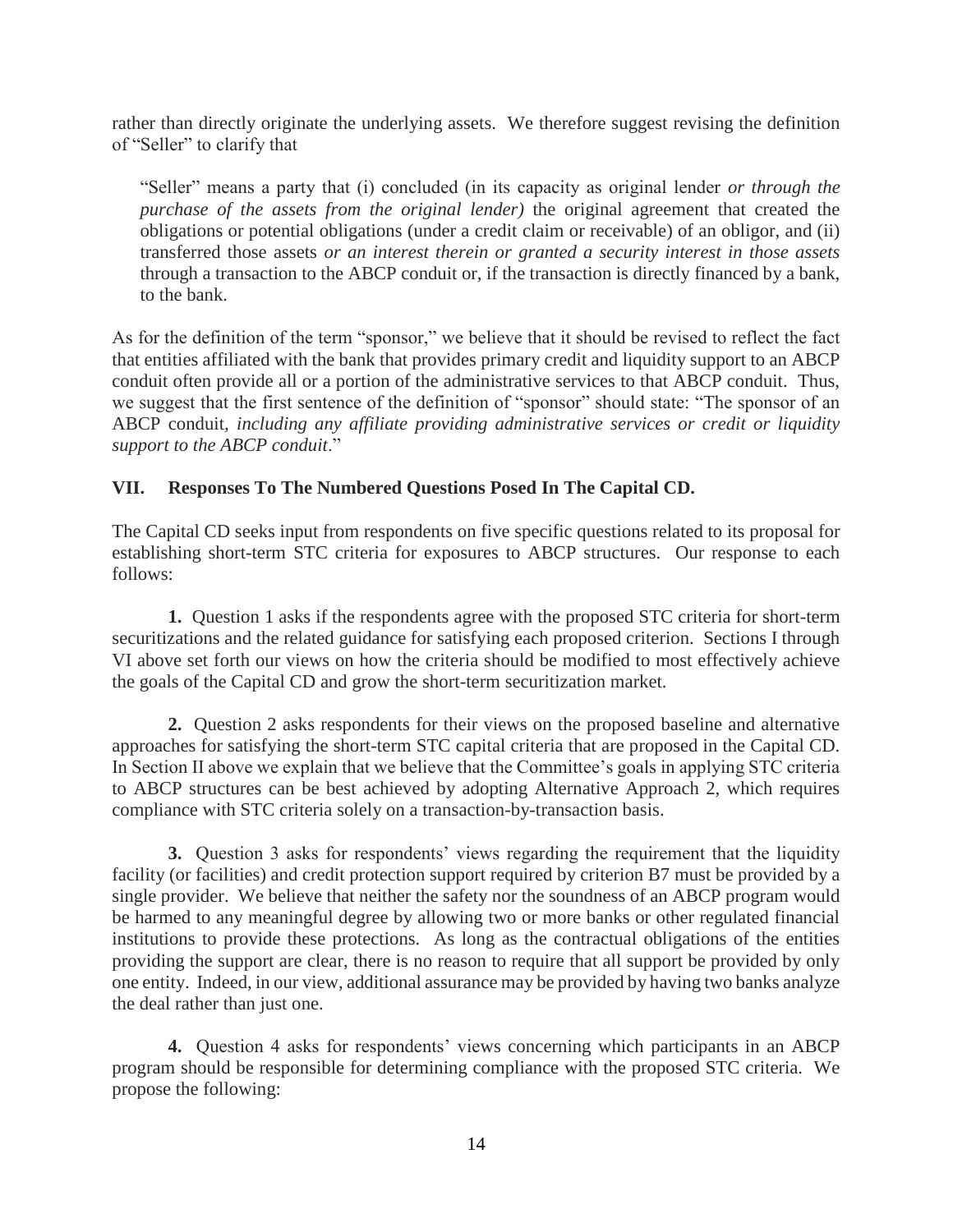rather than directly originate the underlying assets. We therefore suggest revising the definition of "Seller" to clarify that

"Seller" means a party that (i) concluded (in its capacity as original lender *or through the purchase of the assets from the original lender)* the original agreement that created the obligations or potential obligations (under a credit claim or receivable) of an obligor, and (ii) transferred those assets *or an interest therein or granted a security interest in those assets*  through a transaction to the ABCP conduit or, if the transaction is directly financed by a bank, to the bank.

As for the definition of the term "sponsor," we believe that it should be revised to reflect the fact that entities affiliated with the bank that provides primary credit and liquidity support to an ABCP conduit often provide all or a portion of the administrative services to that ABCP conduit. Thus, we suggest that the first sentence of the definition of "sponsor" should state: "The sponsor of an ABCP conduit*, including any affiliate providing administrative services or credit or liquidity support to the ABCP conduit*."

### **VII. Responses To The Numbered Questions Posed In The Capital CD.**

The Capital CD seeks input from respondents on five specific questions related to its proposal for establishing short-term STC criteria for exposures to ABCP structures. Our response to each follows:

**1.** Question 1 asks if the respondents agree with the proposed STC criteria for short-term securitizations and the related guidance for satisfying each proposed criterion. Sections I through VI above set forth our views on how the criteria should be modified to most effectively achieve the goals of the Capital CD and grow the short-term securitization market.

**2.** Question 2 asks respondents for their views on the proposed baseline and alternative approaches for satisfying the short-term STC capital criteria that are proposed in the Capital CD. In Section II above we explain that we believe that the Committee's goals in applying STC criteria to ABCP structures can be best achieved by adopting Alternative Approach 2, which requires compliance with STC criteria solely on a transaction-by-transaction basis.

**3.** Question 3 asks for respondents' views regarding the requirement that the liquidity facility (or facilities) and credit protection support required by criterion B7 must be provided by a single provider. We believe that neither the safety nor the soundness of an ABCP program would be harmed to any meaningful degree by allowing two or more banks or other regulated financial institutions to provide these protections. As long as the contractual obligations of the entities providing the support are clear, there is no reason to require that all support be provided by only one entity. Indeed, in our view, additional assurance may be provided by having two banks analyze the deal rather than just one.

**4.** Question 4 asks for respondents' views concerning which participants in an ABCP program should be responsible for determining compliance with the proposed STC criteria. We propose the following: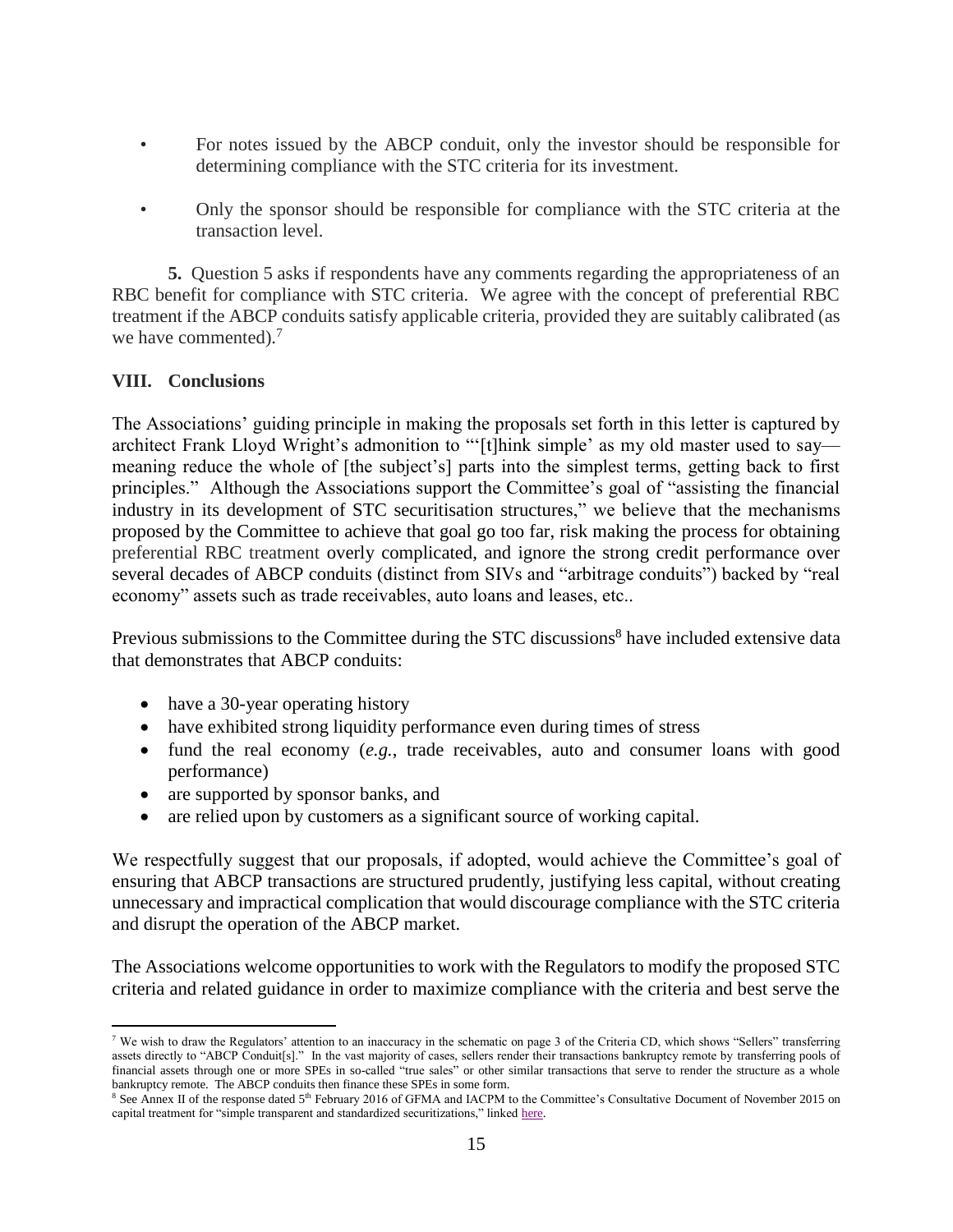- For notes issued by the ABCP conduit, only the investor should be responsible for determining compliance with the STC criteria for its investment.
- Only the sponsor should be responsible for compliance with the STC criteria at the transaction level.

**5.** Question 5 asks if respondents have any comments regarding the appropriateness of an RBC benefit for compliance with STC criteria. We agree with the concept of preferential RBC treatment if the ABCP conduits satisfy applicable criteria, provided they are suitably calibrated (as we have commented).<sup>7</sup>

### **VIII. Conclusions**

 $\overline{a}$ 

The Associations' guiding principle in making the proposals set forth in this letter is captured by architect Frank Lloyd Wright's admonition to "'[t]hink simple' as my old master used to say meaning reduce the whole of [the subject's] parts into the simplest terms, getting back to first principles." Although the Associations support the Committee's goal of "assisting the financial industry in its development of STC securitisation structures," we believe that the mechanisms proposed by the Committee to achieve that goal go too far, risk making the process for obtaining preferential RBC treatment overly complicated, and ignore the strong credit performance over several decades of ABCP conduits (distinct from SIVs and "arbitrage conduits") backed by "real economy" assets such as trade receivables, auto loans and leases, etc..

Previous submissions to the Committee during the STC discussions<sup>8</sup> have included extensive data that demonstrates that ABCP conduits:

- have a 30-year operating history
- have exhibited strong liquidity performance even during times of stress
- fund the real economy (*e.g.*, trade receivables, auto and consumer loans with good performance)
- are supported by sponsor banks, and
- are relied upon by customers as a significant source of working capital.

We respectfully suggest that our proposals, if adopted, would achieve the Committee's goal of ensuring that ABCP transactions are structured prudently, justifying less capital, without creating unnecessary and impractical complication that would discourage compliance with the STC criteria and disrupt the operation of the ABCP market.

The Associations welcome opportunities to work with the Regulators to modify the proposed STC criteria and related guidance in order to maximize compliance with the criteria and best serve the

<sup>7</sup> We wish to draw the Regulators' attention to an inaccuracy in the schematic on page 3 of the Criteria CD, which shows "Sellers" transferring assets directly to "ABCP Conduit[s]." In the vast majority of cases, sellers render their transactions bankruptcy remote by transferring pools of financial assets through one or more SPEs in so-called "true sales" or other similar transactions that serve to render the structure as a whole bankruptcy remote. The ABCP conduits then finance these SPEs in some form.

<sup>&</sup>lt;sup>8</sup> See Annex II of the response dated 5<sup>th</sup> February 2016 of GFMA and IACPM to the Committee's Consultative Document of November 2015 on capital treatment for "simple transparent and standardized securitizations," linked [here.](https://www.afme.eu/globalassets/downloads/consultation-responses/afme-gfma-stn-response-to-bcbs-consultative-document.pdf)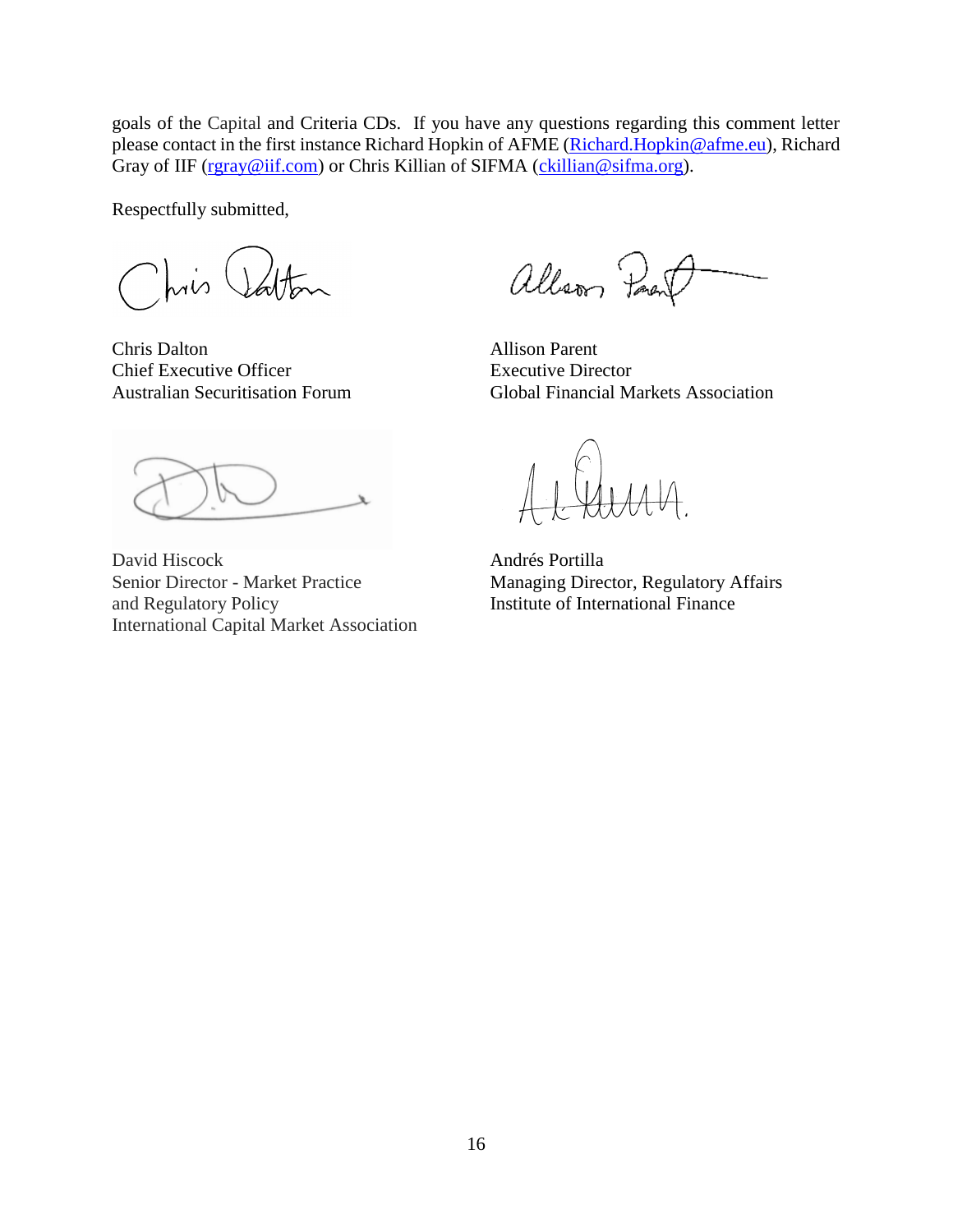goals of the Capital and Criteria CDs. If you have any questions regarding this comment letter please contact in the first instance Richard Hopkin of AFME (Richard Hopkin@afme.eu), Richard Gray of IIF [\(rgray@iif.com\)](mailto:rgray@iif.com) or Chris Killian of SIFMA [\(ckillian@sifma.org\)](mailto:ckillian@sifma.org).

Respectfully submitted,

 $\frac{1}{10}$ 

Chris Dalton Allison Parent Chief Executive Officer Executive Director

allson Par

Australian Securitisation Forum Global Financial Markets Association

David Hiscock Andrés Portilla Senior Director - Market Practice Managing Director, Regulatory Affairs<br>
and Regulatory Policy Managing Director, Regulatory Affairs<br>
Institute of International Finance International Capital Market Association

Institute of International Finance